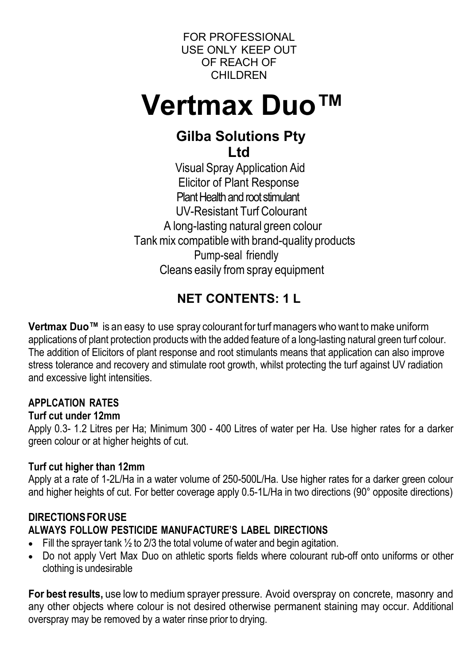FOR PROFESSIONAL USE ONLY KEEP OUT OF REACH OF **CHILDREN** 

# **Vertmax Duo™**

# **Gilba Solutions Pty Ltd**

 Visual Spray Application Aid Elicitor of Plant Response Plant Health and root stimulant UV-Resistant Turf Colourant A long-lasting natural green colour Tank mix compatible with brand-quality products Pump-seal friendly Cleans easily from spray equipment

# **NET CONTENTS: 1 L**

**Vertmax Duo™** is an easy to use spray colourant for turf managers who want to make uniform applications of plant protection products with the added feature of a long-lasting natural green turf colour. The addition of Elicitors of plant response and root stimulants means that application can also improve stress tolerance and recovery and stimulate root growth, whilst protecting the turf against UV radiation and excessive light intensities.

# **APPLCATION RATES**

#### **Turf cut under 12mm**

Apply 0.3- 1.2 Litres per Ha; Minimum 300 - 400 Litres of water per Ha. Use higher rates for a darker green colour or at higher heights of cut.

# **Turf cut higher than 12mm**

Apply at a rate of 1-2L/Ha in a water volume of 250-500L/Ha. Use higher rates for a darker green colour and higher heights of cut. For better coverage apply 0.5-1L/Ha in two directions (90° opposite directions)

# **DIRECTIONSFORUSE**

# **ALWAYS FOLLOW PESTICIDE MANUFACTURE'S LABEL DIRECTIONS**

- Fill the sprayer tank  $\frac{1}{2}$  to 2/3 the total volume of water and begin agitation.
- Do not apply Vert Max Duo on athletic sports fields where colourant rub-off onto uniforms or other clothing is undesirable

**For best results,** use low to medium sprayer pressure. Avoid overspray on concrete, masonry and any other objects where colour is not desired otherwise permanent staining may occur. Additional overspray may be removed by a water rinse prior to drying.